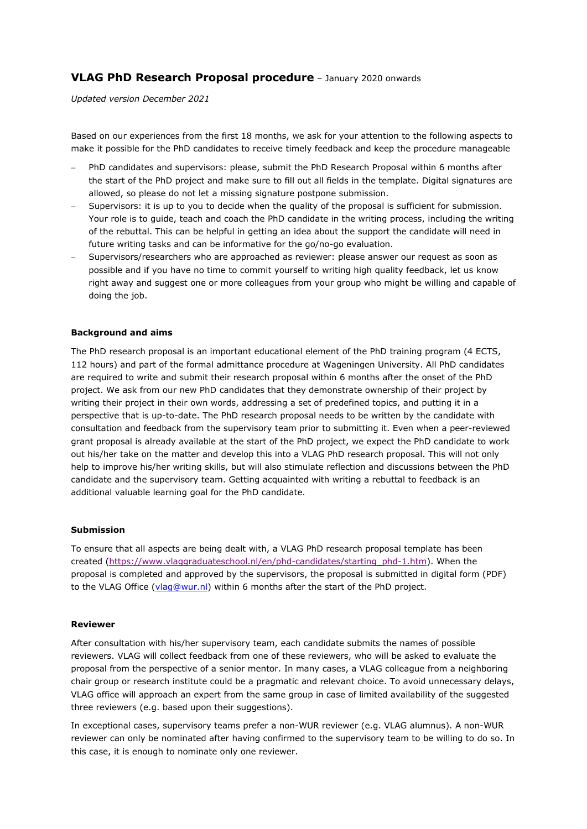# **VLAG PhD Research Proposal procedure** – January 2020 onwards

*Updated version December 2021*

Based on our experiences from the first 18 months, we ask for your attention to the following aspects to make it possible for the PhD candidates to receive timely feedback and keep the procedure manageable

- PhD candidates and supervisors: please, submit the PhD Research Proposal within 6 months after the start of the PhD project and make sure to fill out all fields in the template. Digital signatures are allowed, so please do not let a missing signature postpone submission.
- Supervisors: it is up to you to decide when the quality of the proposal is sufficient for submission. Your role is to guide, teach and coach the PhD candidate in the writing process, including the writing of the rebuttal. This can be helpful in getting an idea about the support the candidate will need in future writing tasks and can be informative for the go/no-go evaluation.
- Supervisors/researchers who are approached as reviewer: please answer our request as soon as possible and if you have no time to commit yourself to writing high quality feedback, let us know right away and suggest one or more colleagues from your group who might be willing and capable of doing the job.

### **Background and aims**

The PhD research proposal is an important educational element of the PhD training program (4 ECTS, 112 hours) and part of the formal admittance procedure at Wageningen University. All PhD candidates are required to write and submit their research proposal within 6 months after the onset of the PhD project. We ask from our new PhD candidates that they demonstrate ownership of their project by writing their project in their own words, addressing a set of predefined topics, and putting it in a perspective that is up-to-date. The PhD research proposal needs to be written by the candidate with consultation and feedback from the supervisory team prior to submitting it. Even when a peer-reviewed grant proposal is already available at the start of the PhD project, we expect the PhD candidate to work out his/her take on the matter and develop this into a VLAG PhD research proposal. This will not only help to improve his/her writing skills, but will also stimulate reflection and discussions between the PhD candidate and the supervisory team. Getting acquainted with writing a rebuttal to feedback is an additional valuable learning goal for the PhD candidate.

#### **Submission**

To ensure that all aspects are being dealt with, a VLAG PhD research proposal template has been created [\(https://www.vlaggraduateschool.nl/en/phd-candidates/starting\\_phd-1.htm\)](https://www.vlaggraduateschool.nl/en/phd-candidates/starting_phd-1.htm). When the proposal is completed and approved by the supervisors, the proposal is submitted in digital form (PDF) to the VLAG Office [\(vlag@wur.nl\)](mailto:vlag@wur.nl) within 6 months after the start of the PhD project.

#### **Reviewer**

After consultation with his/her supervisory team, each candidate submits the names of possible reviewers. VLAG will collect feedback from one of these reviewers, who will be asked to evaluate the proposal from the perspective of a senior mentor. In many cases, a VLAG colleague from a neighboring chair group or research institute could be a pragmatic and relevant choice. To avoid unnecessary delays, VLAG office will approach an expert from the same group in case of limited availability of the suggested three reviewers (e.g. based upon their suggestions).

In exceptional cases, supervisory teams prefer a non-WUR reviewer (e.g. VLAG alumnus). A non-WUR reviewer can only be nominated after having confirmed to the supervisory team to be willing to do so. In this case, it is enough to nominate only one reviewer.